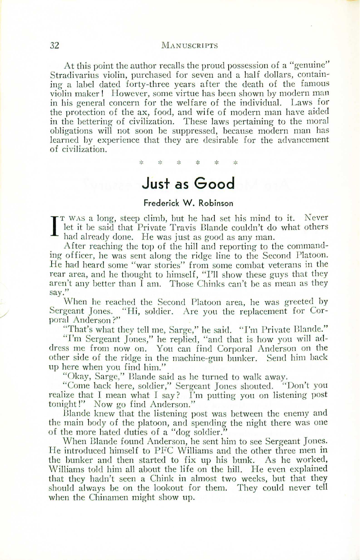At this point the author recalls the proud possession of a "genuine" Stradivarius violin, purchased for seven and a half dollars, containing a label dated forty-three years after the death of the famous violin maker! However, some virtue has been shown by modern man in his general concern for the weIfare of the individual. Laws for the protection of the ax, food, and wife of modern man have aided in the bettering of civilization. These laws pertaining to the moral obligations will not soon be suppressed, because modern man has learned by experience that they are desirable for the advancement of civilization.

\*

## **Just as Good**

## **Frederick W. Robinson**

 $\prod_{i=1}^T$ T WAS a long, steep climb, but he had set his mind to it. Never let it be said that Private Travis Blande couldn't do what others had already done. He was just as good as any man.

. After reaching the top of the hill and reporting to the commanding officer, he was sent along the ridge line to the Second Platoon. He had heard some "war stories" from some combat veterans in the rear area, and he thought to himself, "I'll show these guys that they aren't any better than  $\tilde{I}$  am. Those Chinks can't be as mean as they say."

When be reached the Second Platoon area, he was greeted by Sergeant Jones. "Hi, soldier. Are you the replacement for Corporal Anderson ?"

. "That's what they tell me, Sarge," he said. "I'm Private Blande." "I'm Sergeant Jones," he replied, "and that is how you will address me from now on. You can find Corporal Anderson on the other side of the ridge in the machine-gun bunker. Send him back up here when you find him."

"Okay, Sarge," Blande said as he turned to walk away.

"Come back here, soldier," Sergeant Jones shouted. "Don't you realize that I mean what I say? I'm putting you on listening post tonight!" Now go find Anderson."

Blande knew that the listening post was between the enemy and the main body of the platoon, and spending the night there was one of the more hated duties of a "dog soldier."

When Blande found Anderson, he sent him to see Sergeant Jones. He introduced himself to PFC Williams and the other three men **in** the bunker and then started to fix up his bunk. As he worked, Williams told him all about the life on the hill. He even explained that they hadn't seen a Chink in almost two weeks, but that they should always be on the lookout for them. They could never tell when the Chinamen might show up.

/